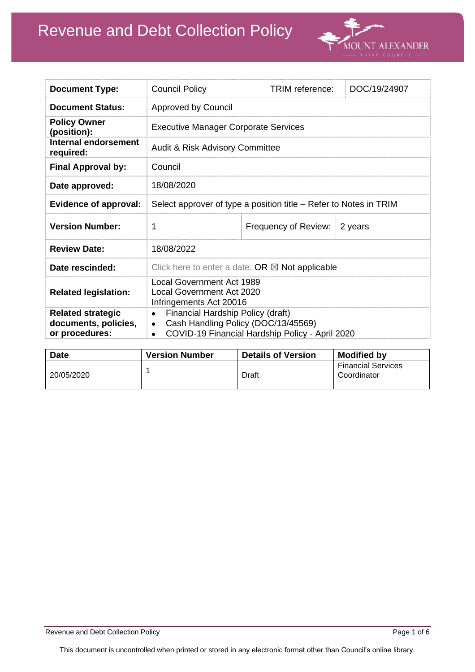

| <b>Document Type:</b>                                              | <b>Council Policy</b>                                                                                                                    | TRIM reference:      | DOC/19/24907 |
|--------------------------------------------------------------------|------------------------------------------------------------------------------------------------------------------------------------------|----------------------|--------------|
| <b>Document Status:</b>                                            | <b>Approved by Council</b>                                                                                                               |                      |              |
| <b>Policy Owner</b><br>(position):                                 | <b>Executive Manager Corporate Services</b>                                                                                              |                      |              |
| Internal endorsement<br>required:                                  | <b>Audit &amp; Risk Advisory Committee</b>                                                                                               |                      |              |
| <b>Final Approval by:</b>                                          | Council                                                                                                                                  |                      |              |
| Date approved:                                                     | 18/08/2020                                                                                                                               |                      |              |
| <b>Evidence of approval:</b>                                       | Select approver of type a position title - Refer to Notes in TRIM                                                                        |                      |              |
| <b>Version Number:</b>                                             | 1                                                                                                                                        | Frequency of Review: | 2 years      |
| <b>Review Date:</b>                                                | 18/08/2022                                                                                                                               |                      |              |
| Date rescinded:                                                    | Click here to enter a date. OR $\boxtimes$ Not applicable                                                                                |                      |              |
| <b>Related legislation:</b>                                        | Local Government Act 1989<br>Local Government Act 2020<br>Infringements Act 20016                                                        |                      |              |
| <b>Related strategic</b><br>documents, policies,<br>or procedures: | Financial Hardship Policy (draft)<br>$\bullet$<br>Cash Handling Policy (DOC/13/45569)<br>COVID-19 Financial Hardship Policy - April 2020 |                      |              |

| <b>Date</b> | <b>Version Number</b> | <b>Details of Version</b> | <b>Modified by</b>                       |
|-------------|-----------------------|---------------------------|------------------------------------------|
| 20/05/2020  |                       | Draft                     | <b>Financial Services</b><br>Coordinator |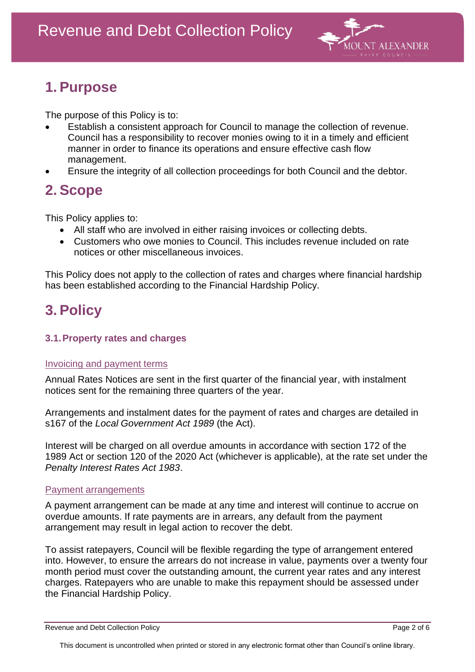

## **1. Purpose**

The purpose of this Policy is to:

- Establish a consistent approach for Council to manage the collection of revenue. Council has a responsibility to recover monies owing to it in a timely and efficient manner in order to finance its operations and ensure effective cash flow management.
- Ensure the integrity of all collection proceedings for both Council and the debtor.

## **2. Scope**

This Policy applies to:

- All staff who are involved in either raising invoices or collecting debts.
- Customers who owe monies to Council. This includes revenue included on rate notices or other miscellaneous invoices.

This Policy does not apply to the collection of rates and charges where financial hardship has been established according to the Financial Hardship Policy.

# **3. Policy**

## **3.1.Property rates and charges**

## Invoicing and payment terms

Annual Rates Notices are sent in the first quarter of the financial year, with instalment notices sent for the remaining three quarters of the year.

Arrangements and instalment dates for the payment of rates and charges are detailed in s167 of the *Local Government Act 1989* (the Act).

Interest will be charged on all overdue amounts in accordance with section 172 of the 1989 Act or section 120 of the 2020 Act (whichever is applicable), at the rate set under the *Penalty Interest Rates Act 1983*.

## Payment arrangements

A payment arrangement can be made at any time and interest will continue to accrue on overdue amounts. If rate payments are in arrears, any default from the payment arrangement may result in legal action to recover the debt.

To assist ratepayers, Council will be flexible regarding the type of arrangement entered into. However, to ensure the arrears do not increase in value, payments over a twenty four month period must cover the outstanding amount, the current year rates and any interest charges. Ratepayers who are unable to make this repayment should be assessed under the Financial Hardship Policy.

Revenue and Debt Collection Policy **Page 2 of 6** and Collection Policy **Page 2 of 6** and Page 2 of 6

This document is uncontrolled when printed or stored in any electronic format other than Council's online library.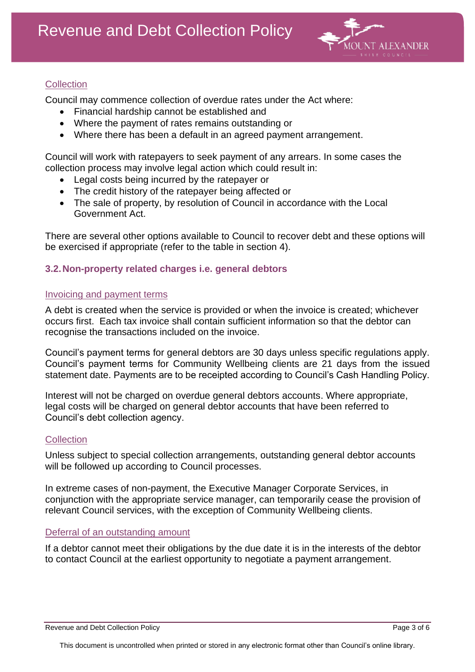

## **Collection**

Council may commence collection of overdue rates under the Act where:

- Financial hardship cannot be established and
- Where the payment of rates remains outstanding or
- Where there has been a default in an agreed payment arrangement.

Council will work with ratepayers to seek payment of any arrears. In some cases the collection process may involve legal action which could result in:

- Legal costs being incurred by the ratepayer or
- The credit history of the ratepayer being affected or
- The sale of property, by resolution of Council in accordance with the Local Government Act.

There are several other options available to Council to recover debt and these options will be exercised if appropriate (refer to the table in section 4).

## **3.2.Non-property related charges i.e. general debtors**

#### Invoicing and payment terms

A debt is created when the service is provided or when the invoice is created; whichever occurs first. Each tax invoice shall contain sufficient information so that the debtor can recognise the transactions included on the invoice.

Council's payment terms for general debtors are 30 days unless specific regulations apply. Council's payment terms for Community Wellbeing clients are 21 days from the issued statement date. Payments are to be receipted according to Council's Cash Handling Policy.

Interest will not be charged on overdue general debtors accounts. Where appropriate, legal costs will be charged on general debtor accounts that have been referred to Council's debt collection agency.

#### **Collection**

Unless subject to special collection arrangements, outstanding general debtor accounts will be followed up according to Council processes.

In extreme cases of non-payment, the Executive Manager Corporate Services, in conjunction with the appropriate service manager, can temporarily cease the provision of relevant Council services, with the exception of Community Wellbeing clients.

#### Deferral of an outstanding amount

If a debtor cannot meet their obligations by the due date it is in the interests of the debtor to contact Council at the earliest opportunity to negotiate a payment arrangement.

Revenue and Debt Collection Policy **Page 3 of 6** and 2 of 6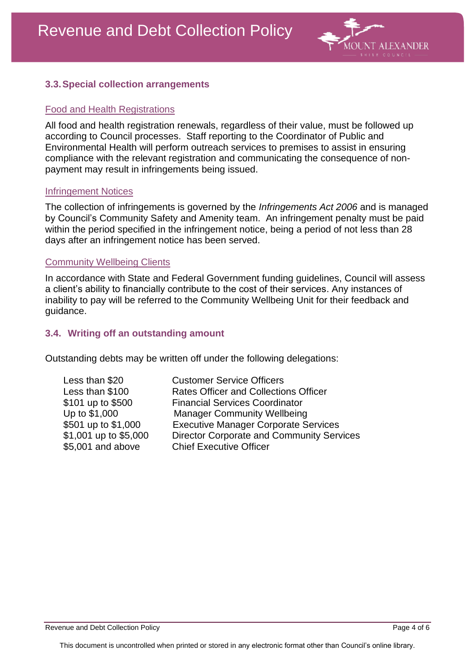

## **3.3.Special collection arrangements**

#### Food and Health Registrations

All food and health registration renewals, regardless of their value, must be followed up according to Council processes. Staff reporting to the Coordinator of Public and Environmental Health will perform outreach services to premises to assist in ensuring compliance with the relevant registration and communicating the consequence of nonpayment may result in infringements being issued.

#### Infringement Notices

The collection of infringements is governed by the *Infringements Act 2006* and is managed by Council's Community Safety and Amenity team. An infringement penalty must be paid within the period specified in the infringement notice, being a period of not less than 28 days after an infringement notice has been served.

#### Community Wellbeing Clients

In accordance with State and Federal Government funding guidelines, Council will assess a client's ability to financially contribute to the cost of their services. Any instances of inability to pay will be referred to the Community Wellbeing Unit for their feedback and guidance.

#### **3.4. Writing off an outstanding amount**

Outstanding debts may be written off under the following delegations:

| Less than \$20        | <b>Customer Service Officers</b>                 |
|-----------------------|--------------------------------------------------|
| Less than \$100       | <b>Rates Officer and Collections Officer</b>     |
| \$101 up to \$500     | <b>Financial Services Coordinator</b>            |
| Up to \$1,000         | <b>Manager Community Wellbeing</b>               |
| \$501 up to \$1,000   | <b>Executive Manager Corporate Services</b>      |
| \$1,001 up to \$5,000 | <b>Director Corporate and Community Services</b> |
| \$5,001 and above     | <b>Chief Executive Officer</b>                   |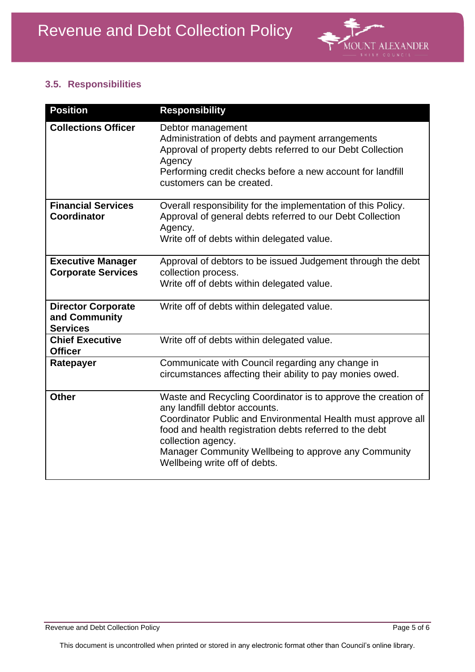

## **3.5. Responsibilities**

| <b>Position</b>                                               | <b>Responsibility</b>                                                                                                                                                                                                                                                                                                                    |
|---------------------------------------------------------------|------------------------------------------------------------------------------------------------------------------------------------------------------------------------------------------------------------------------------------------------------------------------------------------------------------------------------------------|
| <b>Collections Officer</b>                                    | Debtor management<br>Administration of debts and payment arrangements<br>Approval of property debts referred to our Debt Collection<br>Agency<br>Performing credit checks before a new account for landfill<br>customers can be created.                                                                                                 |
| <b>Financial Services</b><br><b>Coordinator</b>               | Overall responsibility for the implementation of this Policy.<br>Approval of general debts referred to our Debt Collection<br>Agency.<br>Write off of debts within delegated value.                                                                                                                                                      |
| <b>Executive Manager</b><br><b>Corporate Services</b>         | Approval of debtors to be issued Judgement through the debt<br>collection process.<br>Write off of debts within delegated value.                                                                                                                                                                                                         |
| <b>Director Corporate</b><br>and Community<br><b>Services</b> | Write off of debts within delegated value.                                                                                                                                                                                                                                                                                               |
| <b>Chief Executive</b><br><b>Officer</b>                      | Write off of debts within delegated value.                                                                                                                                                                                                                                                                                               |
| Ratepayer                                                     | Communicate with Council regarding any change in<br>circumstances affecting their ability to pay monies owed.                                                                                                                                                                                                                            |
| <b>Other</b>                                                  | Waste and Recycling Coordinator is to approve the creation of<br>any landfill debtor accounts.<br>Coordinator Public and Environmental Health must approve all<br>food and health registration debts referred to the debt<br>collection agency.<br>Manager Community Wellbeing to approve any Community<br>Wellbeing write off of debts. |